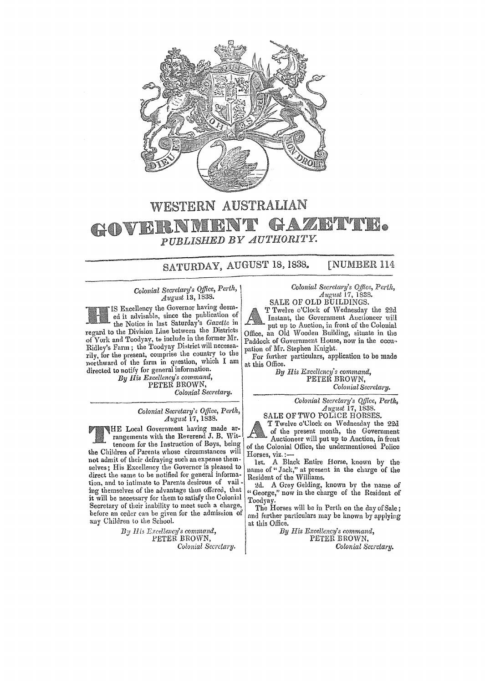

## WESTERN AUSTRALIAN RY VIVR GOVERN PUBLISHED BY AUTHORITY.

SATURDAY, AUGUST 18, 1838. **[NUMBER 114** 

Colonial Secretary's Office, Perth, August 13, 1838.

IS Excellency the Governor having deemed it advisable, since the publication of the Notice in last Saturday's Gazette in regard to the Division Line between the Districts of York and Toodyay, to include in the former Mr. Ridley's Farm; the Toodyay District will necessarily, for the present, comprise the country to the northward of the farm in question, which I am directed to notify for general information.

By His Excellency's command,<br>PETER BROWN, Colonial Secretary.

Colonial Secretary's Office, Perth,<br>August 17, 1838.

HE Local Government having made arrangements with the Reverend J. B. Wittenoom for the Instruction of Boys, being the Children of Parents whose circumstances will not admit of their defraying such an expense themselves; His Excellency the Governor is pleased to direct the same to be notified for general information, and to intimate to Parents desirous of vail-<br>ing themselves of the advantage thus offered, that it will be necessary for them to satisfy the Colonial

Secretary of their inability to meet such a charge,

before an order can be given for the admission of

any Children to the School. By His Excellency's command, PETER BROWN, Colonial Secretary.

Colonial Secretary's Office, Perth,<br>August 17, 1838. SALE OF OLD BUILDINGS.

T Twelve o'Clock of Wednesday the 22d Instant, the Government Auctioneer will put up to Auction, in front of the Colonial Office, an Old Wooden Building, situate in the Paddock of Government House, now in the occupation of Mr. Stephen Knight.

For further particulars, application to be made at this Office.

By His Excellency's command,<br>PETER BROWN, Colonial Secretary.

> Colonial Secretary's Office, Perth,  $August 17, 1838.$

SALE OF TWO POLICE HORSES.

T Twelve c'Clock on Wednesday the 22d of the present month, the Government Auctioneer will put up to Auction, in front of the Colonial Office, the undermentioned Police Horses, viz.:

1st. A Black Entire Horse, known by the name of "Jack," at present in the charge of the<br>Resident of the Williams.

2d. A Grey Gelding, known by the name of "George," now in the charge of the Resident of Toodyay.

The Horses will be in Perth on the day of Sale; and further particulars may be known by applying at this Office.

By His Excellency's command, PETER BROWN, Colonial Secretary.